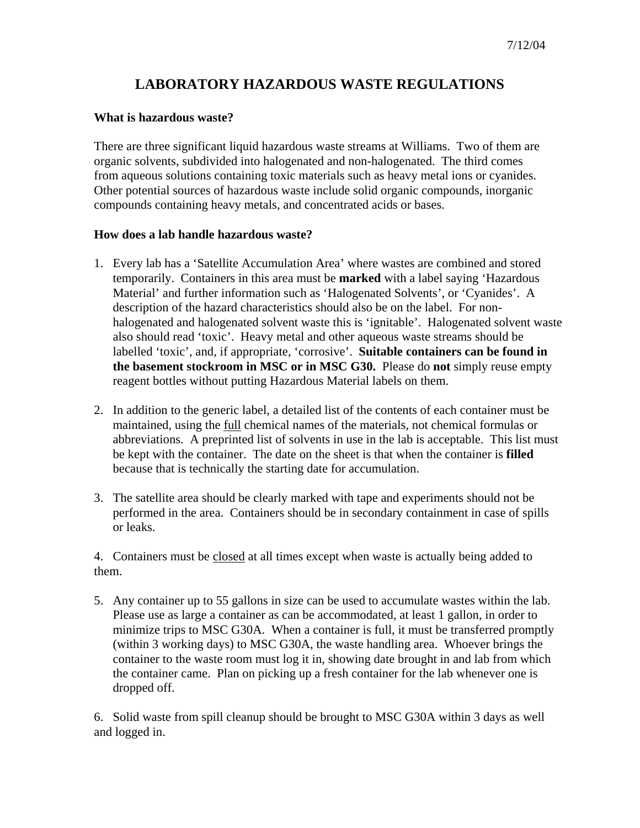## **LABORATORY HAZARDOUS WASTE REGULATIONS**

## **What is hazardous waste?**

There are three significant liquid hazardous waste streams at Williams. Two of them are organic solvents, subdivided into halogenated and non-halogenated. The third comes from aqueous solutions containing toxic materials such as heavy metal ions or cyanides. Other potential sources of hazardous waste include solid organic compounds, inorganic compounds containing heavy metals, and concentrated acids or bases.

## **How does a lab handle hazardous waste?**

- 1. Every lab has a 'Satellite Accumulation Area' where wastes are combined and stored temporarily. Containers in this area must be **marked** with a label saying 'Hazardous Material' and further information such as 'Halogenated Solvents', or 'Cyanides'. A description of the hazard characteristics should also be on the label. For nonhalogenated and halogenated solvent waste this is 'ignitable'. Halogenated solvent waste also should read 'toxic'. Heavy metal and other aqueous waste streams should be labelled 'toxic', and, if appropriate, 'corrosive'. **Suitable containers can be found in the basement stockroom in MSC or in MSC G30.** Please do **not** simply reuse empty reagent bottles without putting Hazardous Material labels on them.
- 2. In addition to the generic label, a detailed list of the contents of each container must be maintained, using the full chemical names of the materials, not chemical formulas or abbreviations. A preprinted list of solvents in use in the lab is acceptable. This list must be kept with the container. The date on the sheet is that when the container is **filled** because that is technically the starting date for accumulation.
- 3. The satellite area should be clearly marked with tape and experiments should not be performed in the area. Containers should be in secondary containment in case of spills or leaks.

4. Containers must be closed at all times except when waste is actually being added to them.

5. Any container up to 55 gallons in size can be used to accumulate wastes within the lab. Please use as large a container as can be accommodated, at least 1 gallon, in order to minimize trips to MSC G30A. When a container is full, it must be transferred promptly (within 3 working days) to MSC G30A, the waste handling area. Whoever brings the container to the waste room must log it in, showing date brought in and lab from which the container came. Plan on picking up a fresh container for the lab whenever one is dropped off.

6. Solid waste from spill cleanup should be brought to MSC G30A within 3 days as well and logged in.